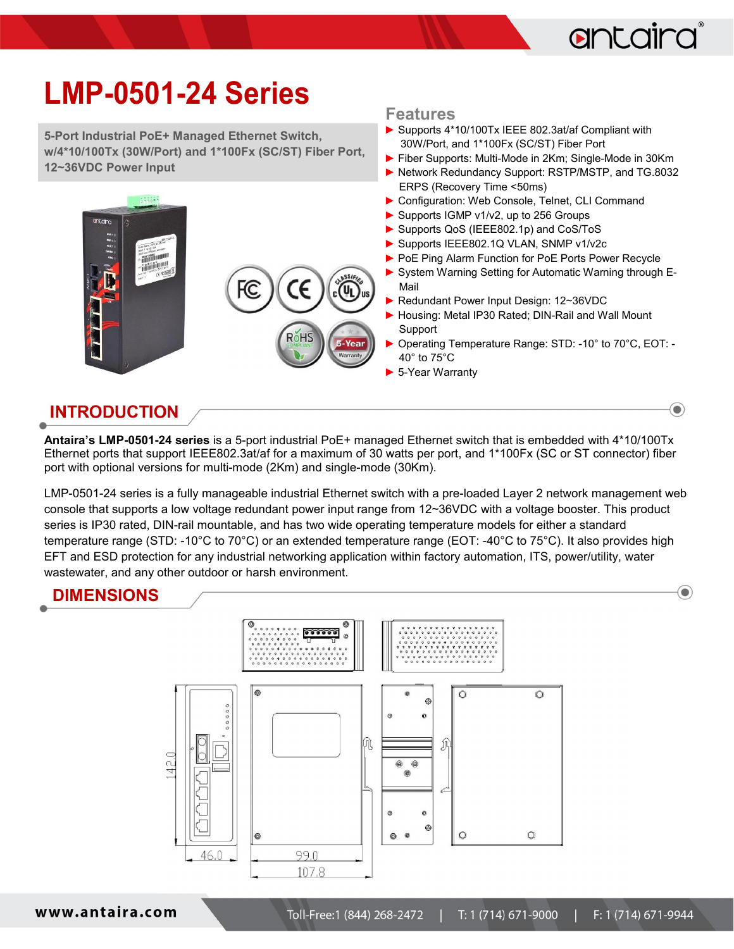

 $\textcolor{blue}{\bullet}$ 

## LMP-0501-24 Series

5-Port Industrial PoE+ Managed Ethernet Switch, w/4\*10/100Tx (30W/Port) and 1\*100Fx (SC/ST) Fiber Port, 12~36VDC Power Input



#### Features

- ► Supports 4\*10/100Tx IEEE 802.3at/af Compliant with 30W/Port, and 1\*100Fx (SC/ST) Fiber Port
- ► Fiber Supports: Multi-Mode in 2Km; Single-Mode in 30Km
- ► Network Redundancy Support: RSTP/MSTP, and TG.8032 ERPS (Recovery Time <50ms)
- ▶ Configuration: Web Console, Telnet, CLI Command
- ► Supports IGMP v1/v2, up to 256 Groups
- ► Supports QoS (IEEE802.1p) and CoS/ToS
- ► Supports IEEE802.1Q VLAN, SNMP v1/v2c
- ▶ PoE Ping Alarm Function for PoE Ports Power Recycle
- ► System Warning Setting for Automatic Warning through E-Mail
- ► Redundant Power Input Design: 12~36VDC
- ► Housing: Metal IP30 Rated; DIN-Rail and Wall Mount Support
- ► Operating Temperature Range: STD: -10° to 70°C, EOT: 40° to 75°C
- ► 5-Year Warranty

### INTRODUCTION

Antaira's LMP-0501-24 series is a 5-port industrial PoE+ managed Ethernet switch that is embedded with 4\*10/100Tx Ethernet ports that support IEEE802.3at/af for a maximum of 30 watts per port, and 1\*100Fx (SC or ST connector) fiber port with optional versions for multi-mode (2Km) and single-mode (30Km).

LMP-0501-24 series is a fully manageable industrial Ethernet switch with a pre-loaded Layer 2 network management web console that supports a low voltage redundant power input range from 12~36VDC with a voltage booster. This product series is IP30 rated, DIN-rail mountable, and has two wide operating temperature models for either a standard temperature range (STD: -10°C to 70°C) or an extended temperature range (EOT: -40°C to 75°C). It also provides high EFT and ESD protection for any industrial networking application within factory automation, ITS, power/utility, water wastewater, and any other outdoor or harsh environment.

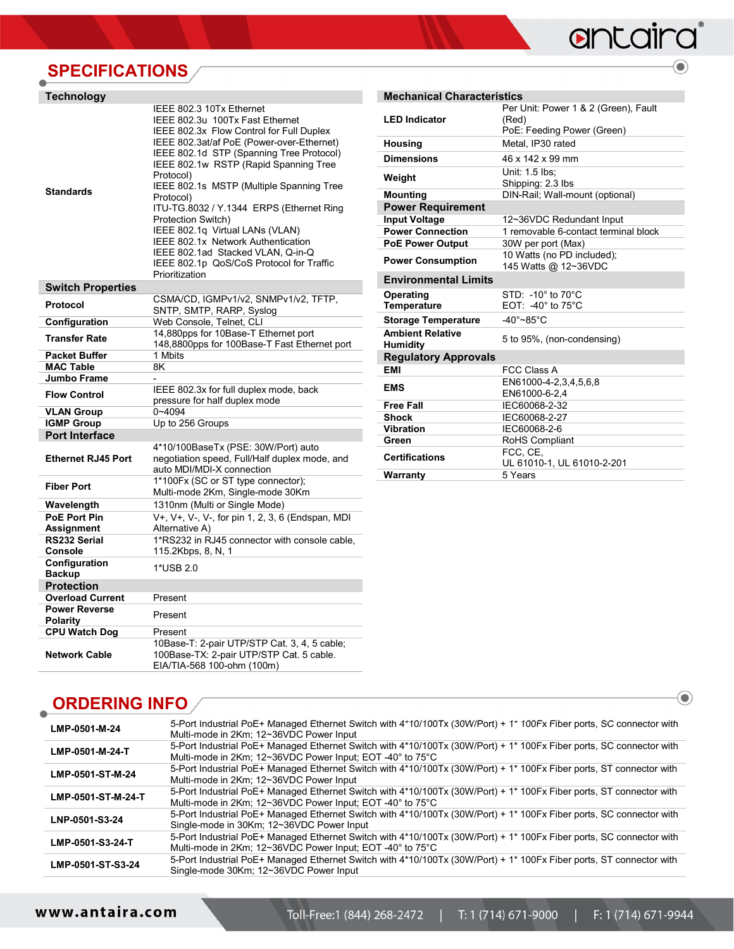# antaira

 $\textcolor{blue}{\bigcirc}$ 

 $\bigodot$ 

## **SPECIFICATIONS**

| <b>Technology</b>                       |                                                                                                                                                                                                                                                                                                                                                                                                                                                                                                                                                               |
|-----------------------------------------|---------------------------------------------------------------------------------------------------------------------------------------------------------------------------------------------------------------------------------------------------------------------------------------------------------------------------------------------------------------------------------------------------------------------------------------------------------------------------------------------------------------------------------------------------------------|
| <b>Standards</b>                        | IEEE 802.3 10Tx Ethernet<br>IEEE 802.3u 100Tx Fast Ethernet<br>IEEE 802.3x Flow Control for Full Duplex<br>IEEE 802.3at/af PoE (Power-over-Ethernet)<br>IEEE 802.1d STP (Spanning Tree Protocol)<br>IEEE 802.1w RSTP (Rapid Spanning Tree<br>Protocol)<br>IEEE 802.1s MSTP (Multiple Spanning Tree<br>Protocol)<br>ITU-TG.8032 / Y.1344 ERPS (Ethernet Ring<br>Protection Switch)<br>IEEE 802.1q Virtual LANs (VLAN)<br>IEEE 802.1x Network Authentication<br>IEEE 802.1ad Stacked VLAN, Q-in-Q<br>IEEE 802.1p QoS/CoS Protocol for Traffic<br>Prioritization |
| <b>Switch Properties</b>                |                                                                                                                                                                                                                                                                                                                                                                                                                                                                                                                                                               |
| Protocol                                | CSMA/CD, IGMPv1/v2, SNMPv1/v2, TFTP,<br>SNTP, SMTP, RARP, Syslog                                                                                                                                                                                                                                                                                                                                                                                                                                                                                              |
| Configuration                           | Web Console, Telnet, CLI                                                                                                                                                                                                                                                                                                                                                                                                                                                                                                                                      |
| <b>Transfer Rate</b>                    | 14,880pps for 10Base-T Ethernet port<br>148,8800pps for 100Base-T Fast Ethernet port                                                                                                                                                                                                                                                                                                                                                                                                                                                                          |
| <b>Packet Buffer</b>                    | 1 Mbits                                                                                                                                                                                                                                                                                                                                                                                                                                                                                                                                                       |
| <b>MAC Table</b>                        | 8K                                                                                                                                                                                                                                                                                                                                                                                                                                                                                                                                                            |
| <b>Jumbo Frame</b>                      |                                                                                                                                                                                                                                                                                                                                                                                                                                                                                                                                                               |
| <b>Flow Control</b>                     | IEEE 802.3x for full duplex mode, back<br>pressure for half duplex mode                                                                                                                                                                                                                                                                                                                                                                                                                                                                                       |
| <b>VLAN Group</b>                       | $0 - 4094$                                                                                                                                                                                                                                                                                                                                                                                                                                                                                                                                                    |
| <b>IGMP Group</b>                       | Up to 256 Groups                                                                                                                                                                                                                                                                                                                                                                                                                                                                                                                                              |
| <b>Port Interface</b>                   |                                                                                                                                                                                                                                                                                                                                                                                                                                                                                                                                                               |
| <b>Ethernet RJ45 Port</b>               | 4*10/100BaseTx (PSE: 30W/Port) auto<br>negotiation speed, Full/Half duplex mode, and<br>auto MDI/MDI-X connection                                                                                                                                                                                                                                                                                                                                                                                                                                             |
| <b>Fiber Port</b>                       | 1*100Fx (SC or ST type connector);<br>Multi-mode 2Km, Single-mode 30Km                                                                                                                                                                                                                                                                                                                                                                                                                                                                                        |
| Wavelength                              | 1310nm (Multi or Single Mode)                                                                                                                                                                                                                                                                                                                                                                                                                                                                                                                                 |
| <b>PoE Port Pin</b>                     | V+, V+, V-, V-, for pin 1, 2, 3, 6 (Endspan, MDI                                                                                                                                                                                                                                                                                                                                                                                                                                                                                                              |
| Assignment                              | Alternative A)                                                                                                                                                                                                                                                                                                                                                                                                                                                                                                                                                |
| RS232 Serial<br><b>Console</b>          | 1*RS232 in RJ45 connector with console cable,<br>115.2Kbps, 8, N, 1                                                                                                                                                                                                                                                                                                                                                                                                                                                                                           |
| Configuration<br><b>Backup</b>          | 1*USB 2.0                                                                                                                                                                                                                                                                                                                                                                                                                                                                                                                                                     |
| <b>Protection</b>                       |                                                                                                                                                                                                                                                                                                                                                                                                                                                                                                                                                               |
| <b>Overload Current</b>                 | Present                                                                                                                                                                                                                                                                                                                                                                                                                                                                                                                                                       |
| <b>Power Reverse</b><br><b>Polarity</b> | Present                                                                                                                                                                                                                                                                                                                                                                                                                                                                                                                                                       |
| <b>CPU Watch Dog</b>                    | Present                                                                                                                                                                                                                                                                                                                                                                                                                                                                                                                                                       |
| <b>Network Cable</b>                    | 10Base-T: 2-pair UTP/STP Cat. 3, 4, 5 cable;<br>100Base-TX: 2-pair UTP/STP Cat. 5 cable.<br>EIA/TIA-568 100-ohm (100m)                                                                                                                                                                                                                                                                                                                                                                                                                                        |

| <b>Mechanical Characteristics</b>          |                                                                             |
|--------------------------------------------|-----------------------------------------------------------------------------|
| <b>LED Indicator</b>                       | Per Unit: Power 1 & 2 (Green), Fault<br>(Red)<br>PoE: Feeding Power (Green) |
| <b>Housing</b>                             | Metal. IP30 rated                                                           |
| <b>Dimensions</b>                          | 46 x 142 x 99 mm                                                            |
| Weight                                     | Unit: 1.5 lbs:<br>Shipping: 2.3 lbs                                         |
| <b>Mounting</b>                            | DIN-Rail; Wall-mount (optional)                                             |
| <b>Power Requirement</b>                   |                                                                             |
| <b>Input Voltage</b>                       | 12~36VDC Redundant Input                                                    |
| <b>Power Connection</b>                    | 1 removable 6-contact terminal block                                        |
| <b>PoE Power Output</b>                    | 30W per port (Max)                                                          |
| <b>Power Consumption</b>                   | 10 Watts (no PD included);<br>145 Watts @ 12~36VDC                          |
| <b>Environmental Limits</b>                |                                                                             |
| Operating<br><b>Temperature</b>            | $STD: -10^{\circ}$ to $70^{\circ}C$<br>$EOT: -40^\circ$ to 75°C             |
| <b>Storage Temperature</b>                 | $-40^\circ - 85^\circ$ C                                                    |
| <b>Ambient Relative</b><br><b>Humidity</b> | 5 to 95%, (non-condensing)                                                  |
| <b>Regulatory Approvals</b>                |                                                                             |
| <b>EMI</b>                                 | <b>FCC Class A</b>                                                          |
| <b>EMS</b>                                 | EN61000-4-2,3,4,5,6,8<br>EN61000-6-2,4                                      |
| <b>Free Fall</b>                           | IEC60068-2-32                                                               |
| <b>Shock</b>                               | IEC60068-2-27                                                               |
| <b>Vibration</b>                           | IEC60068-2-6                                                                |
| Green                                      | RoHS Compliant                                                              |
| <b>Certifications</b>                      | FCC, CE.<br>UL 61010-1, UL 61010-2-201                                      |
| Warranty                                   | 5 Years                                                                     |

### **ORDERING INFO**

| LMP-0501-M-24      | 5-Port Industrial PoE+ Managed Ethernet Switch with 4*10/100Tx (30W/Port) + 1* 100Fx Fiber ports, SC connector with<br>Multi-mode in 2Km; 12~36VDC Power Input                   |
|--------------------|----------------------------------------------------------------------------------------------------------------------------------------------------------------------------------|
| LMP-0501-M-24-T    | 5-Port Industrial PoE+ Managed Ethernet Switch with 4*10/100Tx (30W/Port) + 1* 100Fx Fiber ports, SC connector with<br>Multi-mode in 2Km; 12~36VDC Power Input; EOT -40° to 75°C |
| LMP-0501-ST-M-24   | 5-Port Industrial PoE+ Managed Ethernet Switch with 4*10/100Tx (30W/Port) + 1* 100Fx Fiber ports, ST connector with<br>Multi-mode in 2Km; 12~36VDC Power Input                   |
| LMP-0501-ST-M-24-T | 5-Port Industrial PoE+ Managed Ethernet Switch with 4*10/100Tx (30W/Port) + 1* 100Fx Fiber ports, ST connector with<br>Multi-mode in 2Km; 12~36VDC Power Input; EOT -40° to 75°C |
| LNP-0501-S3-24     | 5-Port Industrial PoE+ Managed Ethernet Switch with 4*10/100Tx (30W/Port) + 1* 100Fx Fiber ports, SC connector with<br>Single-mode in 30Km; 12~36VDC Power Input                 |
| LMP-0501-S3-24-T   | 5-Port Industrial PoE+ Managed Ethernet Switch with 4*10/100Tx (30W/Port) + 1* 100Fx Fiber ports, SC connector with<br>Multi-mode in 2Km; 12~36VDC Power Input; EOT -40° to 75°C |
| LMP-0501-ST-S3-24  | 5-Port Industrial PoE+ Managed Ethernet Switch with 4*10/100Tx (30W/Port) + 1* 100Fx Fiber ports, ST connector with<br>Single-mode 30Km; 12~36VDC Power Input                    |